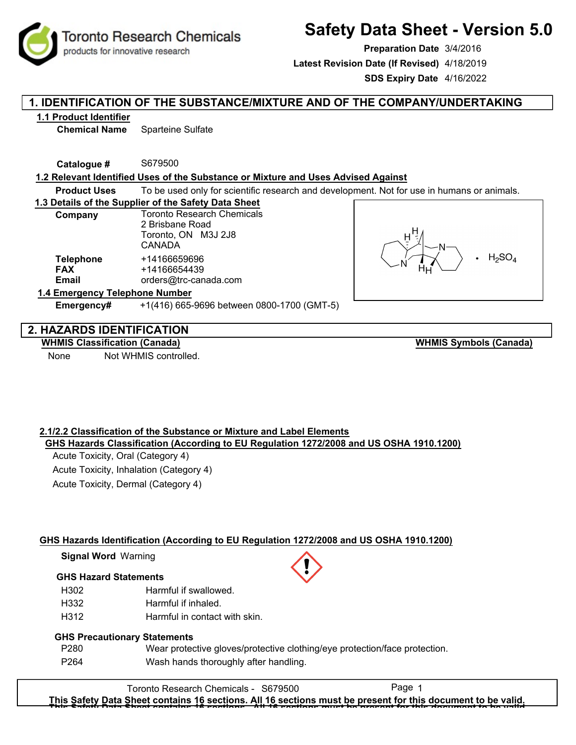**Toronto Research Chemicals** 

# **Safety Data Sheet - Version 5.0**

**Preparation Date** 3/4/2016 **Latest Revision Date (If Revised)** 4/18/2019

**SDS Expiry Date** 4/16/2022

## **1. IDENTIFICATION OF THE SUBSTANCE/MIXTURE AND OF THE COMPANY/UNDERTAKING**

## **1.1 Product Identifier**

**Chemical Name** Sparteine Sulfate

**Catalogue #** S679500

products for innovative research

## **1.2 Relevant Identified Uses of the Substance or Mixture and Uses Advised Against**

**Product Uses** To be used only for scientific research and development. Not for use in humans or animals.

## **1.3 Details of the Supplier of the Safety Data Sheet**

| Company                                 | <b>Toronto Research Chemicals</b><br>2 Brisbane Road<br>Toronto, ON M3J 2J8<br><b>CANADA</b> |  |  |
|-----------------------------------------|----------------------------------------------------------------------------------------------|--|--|
| <b>Telephone</b><br><b>FAX</b><br>Email | +14166659696<br>+14166654439<br>orders@trc-canada.com                                        |  |  |
| 1.4 Emergency Telephone Number          |                                                                                              |  |  |

**Emergency#** +1(416) 665-9696 between 0800-1700 (GMT-5)



## **2. HAZARDS IDENTIFICATION**

## **WHMIS Classification (Canada)**

None Not WHMIS controlled.

**WHMIS Symbols (Canada)**

## **2.1/2.2 Classification of the Substance or Mixture and Label Elements GHS Hazards Classification (According to EU Regulation 1272/2008 and US OSHA 1910.1200)**

Acute Toxicity, Oral (Category 4) Acute Toxicity, Inhalation (Category 4) Acute Toxicity, Dermal (Category 4)

## **GHS Hazards Identification (According to EU Regulation 1272/2008 and US OSHA 1910.1200)**

**Signal Word** Warning

## **GHS Hazard Statements**

- H302 Harmful if swallowed.
- H332 Harmful if inhaled.
- H312 Harmful in contact with skin.

## **GHS Precautionary Statements**

P280 P264 Wear protective gloves/protective clothing/eye protection/face protection. Wash hands thoroughly after handling.

Toronto Research Chemicals - S679500 Page 1 **This Safety Data Sheet contains 16 sections. All 16 sections must be present for this document to be valid. This Safety Data Sheet contains 16 sections. All 16 sections must be present for this document to be valid.**



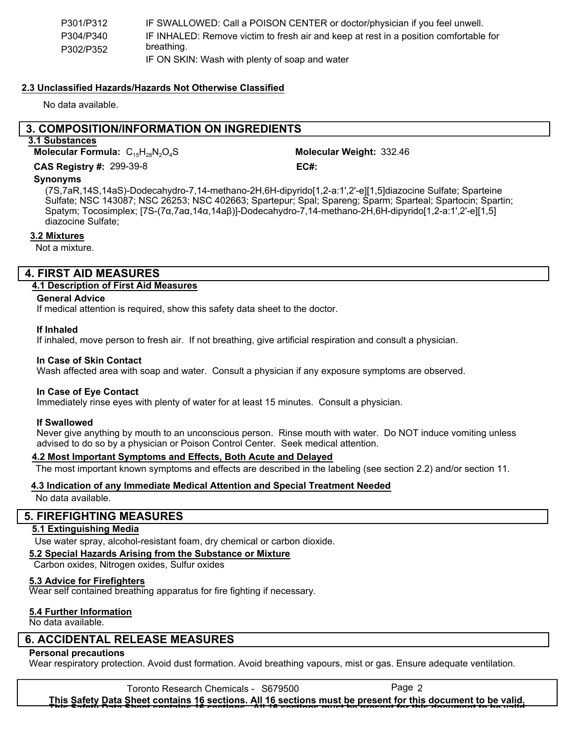| P301/P312 | IF SWALLOWED: Call a POISON CENTER or doctor/physician if you feel unwell.            |
|-----------|---------------------------------------------------------------------------------------|
| P304/P340 | IF INHALED: Remove victim to fresh air and keep at rest in a position comfortable for |
| P302/P352 | breathing.                                                                            |
|           | IF ON SKIN: Wash with plenty of soap and water                                        |

## **2.3 Unclassified Hazards/Hazards Not Otherwise Classified**

No data available.

## **3. COMPOSITION/INFORMATION ON INGREDIENTS**

**3.1 Substances**

**Molecular Formula:**  $C_{15}H_{28}N_2O_4S$ 

Molecular Weight: 332.46 299-39-8 **CAS Registry #: EC#:**

### **Synonyms**

(7S,7aR,14S,14aS)-Dodecahydro-7,14-methano-2H,6H-dipyrido[1,2-a:1',2'-e][1,5]diazocine Sulfate; Sparteine Sulfate; NSC 143087; NSC 26253; NSC 402663; Spartepur; Spal; Spareng; Sparm; Sparteal; Spartocin; Spartin; Spatym; Tocosimplex; [7S-(7α,7aα,14α,14aβ)]-Dodecahydro-7,14-methano-2H,6H-dipyrido[1,2-a:1',2'-e][1,5] diazocine Sulfate;

## **3.2 Mixtures**

Not a mixture.

## **4. FIRST AID MEASURES**

## **4.1 Description of First Aid Measures**

#### **General Advice**

If medical attention is required, show this safety data sheet to the doctor.

#### **If Inhaled**

If inhaled, move person to fresh air. If not breathing, give artificial respiration and consult a physician.

#### **In Case of Skin Contact**

Wash affected area with soap and water. Consult a physician if any exposure symptoms are observed.

### **In Case of Eye Contact**

Immediately rinse eyes with plenty of water for at least 15 minutes. Consult a physician.

### **If Swallowed**

Never give anything by mouth to an unconscious person. Rinse mouth with water. Do NOT induce vomiting unless advised to do so by a physician or Poison Control Center. Seek medical attention.

### **4.2 Most Important Symptoms and Effects, Both Acute and Delayed**

The most important known symptoms and effects are described in the labeling (see section 2.2) and/or section 11.

### **4.3 Indication of any Immediate Medical Attention and Special Treatment Needed**

No data available.

## **5. FIREFIGHTING MEASURES**

## **5.1 Extinguishing Media**

Use water spray, alcohol-resistant foam, dry chemical or carbon dioxide.

## **5.2 Special Hazards Arising from the Substance or Mixture**

Carbon oxides, Nitrogen oxides, Sulfur oxides

## **5.3 Advice for Firefighters**

Wear self contained breathing apparatus for fire fighting if necessary.

## **5.4 Further Information**

No data available.

## **6. ACCIDENTAL RELEASE MEASURES**

## **Personal precautions**

Wear respiratory protection. Avoid dust formation. Avoid breathing vapours, mist or gas. Ensure adequate ventilation.

Toronto Research Chemicals - S679500 Page 2 **This Safety Data Sheet contains 16 sections. All 16 sections must be present for this document to be valid. This Safety Data Sheet contains 16 sections. All 16 sections must be present for this document to be valid.**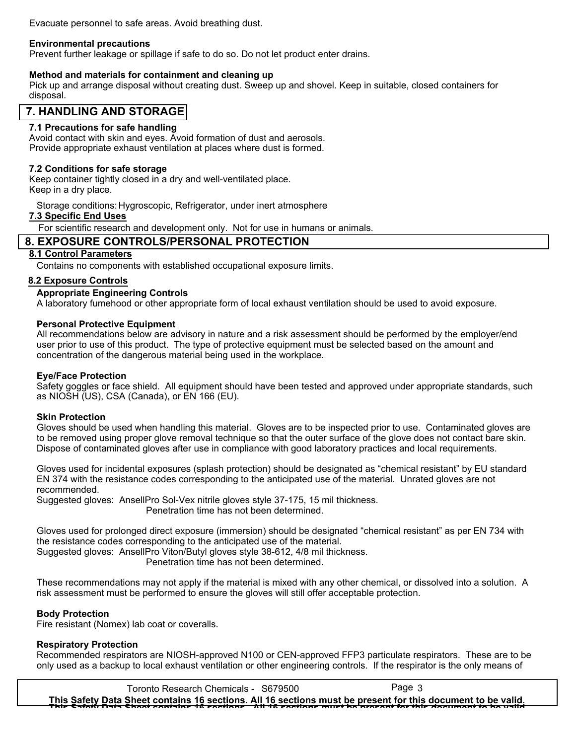Evacuate personnel to safe areas. Avoid breathing dust.

### **Environmental precautions**

Prevent further leakage or spillage if safe to do so. Do not let product enter drains.

### **Method and materials for containment and cleaning up**

Pick up and arrange disposal without creating dust. Sweep up and shovel. Keep in suitable, closed containers for disposal.

## **7. HANDLING AND STORAGE**

## **7.1 Precautions for safe handling**

Avoid contact with skin and eyes. Avoid formation of dust and aerosols. Provide appropriate exhaust ventilation at places where dust is formed.

## **7.2 Conditions for safe storage**

Keep container tightly closed in a dry and well-ventilated place. Keep in a dry place.

Storage conditions: Hygroscopic, Refrigerator, under inert atmosphere

## **7.3 Specific End Uses**

For scientific research and development only. Not for use in humans or animals.

## **8. EXPOSURE CONTROLS/PERSONAL PROTECTION**

## **8.1 Control Parameters**

Contains no components with established occupational exposure limits.

## **8.2 Exposure Controls**

### **Appropriate Engineering Controls**

A laboratory fumehood or other appropriate form of local exhaust ventilation should be used to avoid exposure.

### **Personal Protective Equipment**

All recommendations below are advisory in nature and a risk assessment should be performed by the employer/end user prior to use of this product. The type of protective equipment must be selected based on the amount and concentration of the dangerous material being used in the workplace.

### **Eye/Face Protection**

Safety goggles or face shield. All equipment should have been tested and approved under appropriate standards, such as NIOSH (US), CSA (Canada), or EN 166 (EU).

### **Skin Protection**

Gloves should be used when handling this material. Gloves are to be inspected prior to use. Contaminated gloves are to be removed using proper glove removal technique so that the outer surface of the glove does not contact bare skin. Dispose of contaminated gloves after use in compliance with good laboratory practices and local requirements.

Gloves used for incidental exposures (splash protection) should be designated as "chemical resistant" by EU standard EN 374 with the resistance codes corresponding to the anticipated use of the material. Unrated gloves are not recommended.

Suggested gloves: AnsellPro Sol-Vex nitrile gloves style 37-175, 15 mil thickness. Penetration time has not been determined.

Gloves used for prolonged direct exposure (immersion) should be designated "chemical resistant" as per EN 734 with the resistance codes corresponding to the anticipated use of the material. Suggested gloves: AnsellPro Viton/Butyl gloves style 38-612, 4/8 mil thickness.

Penetration time has not been determined.

These recommendations may not apply if the material is mixed with any other chemical, or dissolved into a solution. A risk assessment must be performed to ensure the gloves will still offer acceptable protection.

## **Body Protection**

Fire resistant (Nomex) lab coat or coveralls.

### **Respiratory Protection**

Recommended respirators are NIOSH-approved N100 or CEN-approved FFP3 particulate respirators. These are to be only used as a backup to local exhaust ventilation or other engineering controls. If the respirator is the only means of

Toronto Research Chemicals - S679500 Page 3 **This Safety Data Sheet contains 16 sections. All 16 sections must be present for this document to be valid. This Safety Data Sheet contains 16 sections. All 16 sections must be present for this document to be valid.**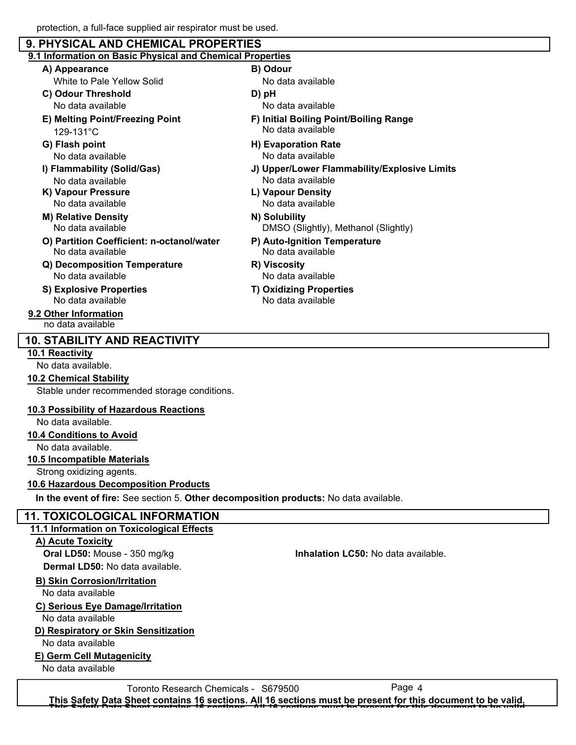## protection, a full-face supplied air respirator must be used.  **9. PHYSICAL AND CHEMICAL PROPERTIES 9.1 Information on Basic Physical and Chemical Properties A) Appearance B) Odour C) Odour Threshold D) pH E) Melting Point/Freezing Point F) Initial Boiling Point/Boiling Range G) Flash point H) Evaporation Rate I) Flammability (Solid/Gas) J) Upper/Lower Flammability/Explosive Limits K) Vapour Pressure L) Vapour Density M) Relative Density N) Solubility O) Partition Coefficient: n-octanol/water P) Auto-Ignition Temperature Q) Decomposition Temperature R) Viscosity S) Explosive Properties T) Oxidizing Properties** No data available No data available No data available No data available No data available No data available No data available No data available No data available No data available No data available No data available No data available No data available No data available No data available No data available 129-131°C White to Pale Yellow Solid DMSO (Slightly), Methanol (Slightly) **9.2 Other Information** no data available

## **10. STABILITY AND REACTIVITY**

## **10.1 Reactivity**

No data available.

### **10.2 Chemical Stability**

Stable under recommended storage conditions.

### **10.3 Possibility of Hazardous Reactions**

No data available.

### **10.4 Conditions to Avoid**

No data available.

## **10.5 Incompatible Materials**

Strong oxidizing agents.

## **10.6 Hazardous Decomposition Products**

**In the event of fire:** See section 5. **Other decomposition products:** No data available.

## **11. TOXICOLOGICAL INFORMATION**

## **11.1 Information on Toxicological Effects**

## **A) Acute Toxicity**

**Dermal LD50:** No data available.

## **B) Skin Corrosion/Irritation**

No data available

## **C) Serious Eye Damage/Irritation**

No data available

## **D) Respiratory or Skin Sensitization**

No data available

## **E) Germ Cell Mutagenicity**

No data available

**Oral LD50:** Mouse - 350 mg/kg **Inhalation LC50:** No data available.

Toronto Research Chemicals - S679500 Page 4 **This Safety Data Sheet contains 16 sections. All 16 sections must be present for this document to be valid. This Safety Data Sheet contains 16 sections. All 16 sections must be present for this document to be valid.**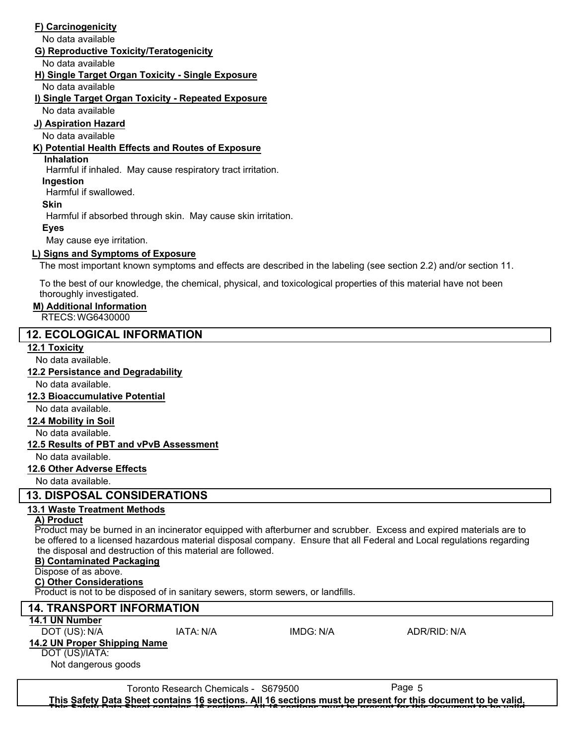## **F) Carcinogenicity**

No data available

#### **G) Reproductive Toxicity/Teratogenicity**

No data available

#### **H) Single Target Organ Toxicity - Single Exposure**

No data available

## **I) Single Target Organ Toxicity - Repeated Exposure**

No data available

## **J) Aspiration Hazard**

No data available

### **K) Potential Health Effects and Routes of Exposure**

## **Inhalation**

Harmful if inhaled. May cause respiratory tract irritation.

#### **Ingestion**

Harmful if swallowed.

#### **Skin**

Harmful if absorbed through skin. May cause skin irritation.

### **Eyes**

May cause eye irritation.

## **L) Signs and Symptoms of Exposure**

The most important known symptoms and effects are described in the labeling (see section 2.2) and/or section 11.

To the best of our knowledge, the chemical, physical, and toxicological properties of this material have not been thoroughly investigated.

### **M) Additional Information**

RTECS: WG6430000

## **12. ECOLOGICAL INFORMATION**

## **12.1 Toxicity**

No data available.

## **12.2 Persistance and Degradability**

No data available.

### **12.3 Bioaccumulative Potential**

No data available.

### **12.4 Mobility in Soil**

No data available.

## **12.5 Results of PBT and vPvB Assessment**

No data available.

## **12.6 Other Adverse Effects**

No data available.

## **13. DISPOSAL CONSIDERATIONS**

## **13.1 Waste Treatment Methods**

## **A) Product**

Product may be burned in an incinerator equipped with afterburner and scrubber. Excess and expired materials are to be offered to a licensed hazardous material disposal company. Ensure that all Federal and Local regulations regarding the disposal and destruction of this material are followed.

## **B) Contaminated Packaging**

## Dispose of as above.

## **C) Other Considerations**

Product is not to be disposed of in sanitary sewers, storm sewers, or landfills.

## **14. TRANSPORT INFORMATION 14.1 UN Number** DOT (US): N/A IATA: N/A IMDG: N/A ADR/RID: N/A

**14.2 UN Proper Shipping Name**

DOT (US)/IATA:

Not dangerous goods

Toronto Research Chemicals - S679500 Page 5

**This Safety Data Sheet contains 16 sections. All 16 sections must be present for this document to be valid. This Safety Data Sheet contains 16 sections. All 16 sections must be present for this document to be valid.**